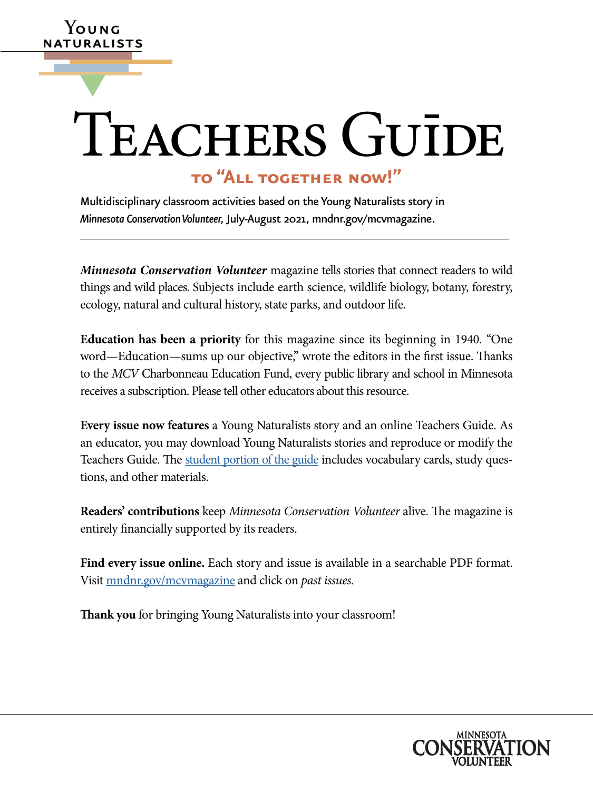# TEACHERS GUĪDE

### **to "All together now!"**

Multidisciplinary classroom activities based on the Young Naturalists story in *Minnesota Conservation Volunteer,* July-August 2021, [mndnr.gov/mcvmagazine](http://www.dnr.state.mn.us/mcvmagazine/index.html).

**Y**oung ATURALISTS

▼

 things and wild places. Subjects include earth science, wildlife biology, botany, forestry, *Minnesota Conservation Volunteer* magazine tells stories that connect readers to wild ecology, natural and cultural history, state parks, and outdoor life.

**Education has been a priority** for this magazine since its beginning in 1940. "One word—Education—sums up our objective," wrote the editors in the first issue. Thanks to the *MCV* Charbonneau Education Fund, every public library and school in Minnesota receives a subscription. Please tell other educators about this resource.

 an educator, you may download Young Naturalists stories and reproduce or modify the **Every issue now features** a Young Naturalists story and an online Teachers Guide. As Teachers Guide. The [student portion of the guide](https://www.dnr.state.mn.us/mcvmagazine/young-naturalists.html) includes vocabulary cards, study questions, and other materials.

**Readers' contributions** keep *Minnesota Conservation Volunteer* alive. The magazine is entirely fnancially supported by its readers.

**Find every issue online.** Each story and issue is available in a searchable PDF format. Visit [mndnr.gov/mcvmagazine](http://www.mndnr.gov/mcvmagazine) and click on *past issues.* 

**Tank you** for bringing Young Naturalists into your classroom!

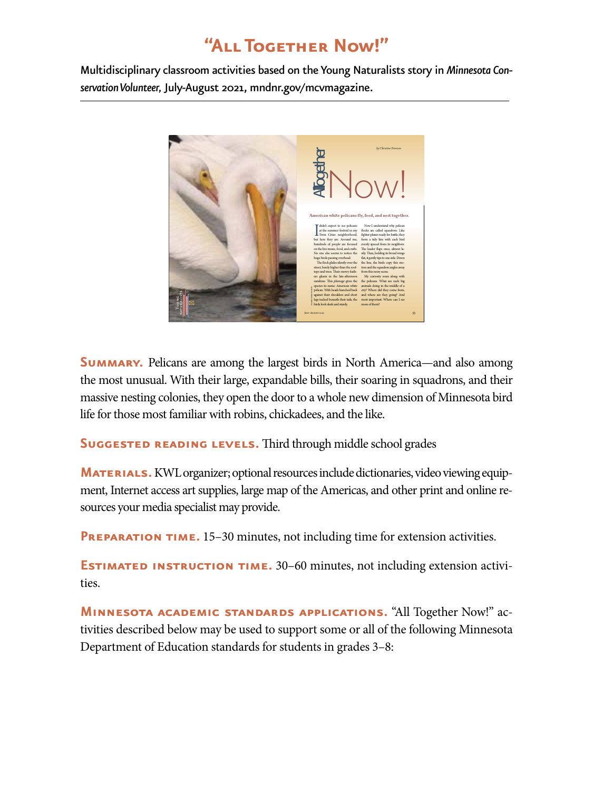## **"All Together Now!"**

Multidisciplinary classroom activities based on the Young Naturalists story in *Minnesota Conservation Volunteer,* July-August 2021, [mndnr.gov/mcvmagazine](http://www.mndnr.gov/mcvmagazine).



**SUMMARY.** Pelicans are among the largest birds in North America—and also among the most unusual. With their large, expandable bills, their soaring in squadrons, and their massive nesting colonies, they open the door to a whole new dimension of Minnesota bird life for those most familiar with robins, chickadees, and the like.

**SUGGESTED READING LEVELS.** Third through middle school grades

**MATERIALS.** KWL organizer; optional resources include dictionaries, video viewing equipment, Internet access art supplies, large map of the Americas, and other print and online resources your media specialist may provide.

**PREPARATION TIME.** 15–30 minutes, not including time for extension activities.

**ESTIMATED INSTRUCTION TIME.** 30–60 minutes, not including extension activities.

**Minnesota academic standards applications.** "All Together Now!" activities described below may be used to support some or all of the following Minnesota Department of Education standards for students in grades 3–8: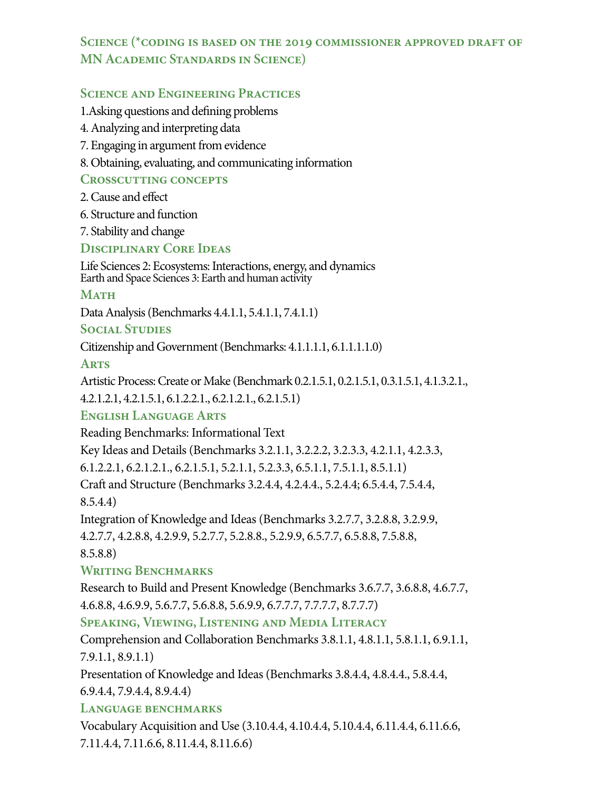#### **Science (\*coding is based on the 2019 commissioner approved draft of MN Academic Standards in Science)**

#### **Science and Engineering Practices**

1.Asking questions and defning problems

- 4. Analyzing and interpreting data
- 7. Engaging in argument from evidence
- 8. Obtaining, evaluating, and communicating information

#### **Crosscutting concepts**

2. Cause and efect

6. Structure and function

7. Stability and change

#### **Disciplinary Core Ideas**

Life Sciences 2: Ecosystems: Interactions, energy, and dynamics Earth and Space Sciences 3: Earth and human activity

#### **MATH**

Data Analysis (Benchmarks 4.4.1.1, 5.4.1.1, 7.4.1.1)

#### **Social Studies**

Citizenship and Government (Benchmarks: 4.1.1.1.1, 6.1.1.1.1.0)

#### **Arts**

Artistic Process: Create or Make (Benchmark 0.2.1.5.1, 0.2.1.5.1, 0.3.1.5.1, 4.1.3.2.1.,

4.2.1.2.1, 4.2.1.5.1, 6.1.2.2.1., 6.2.1.2.1., 6.2.1.5.1)

#### **English Language Arts**

Reading Benchmarks: Informational Text

Key Ideas and Details (Benchmarks 3.2.1.1, 3.2.2.2, 3.2.3.3, 4.2.1.1, 4.2.3.3,

6.1.2.2.1, 6.2.1.2.1., 6.2.1.5.1, 5.2.1.1, 5.2.3.3, 6.5.1.1, 7.5.1.1, 8.5.1.1)

Craft and Structure (Benchmarks 3.2.4.4, 4.2.4.4, 5.2.4.4; 6.5.4.4, 7.5.4.4,

8.5.4.4)

Integration of Knowledge and Ideas (Benchmarks 3.2.7.7, 3.2.8.8, 3.2.9.9, 4.2.7.7, 4.2.8.8, 4.2.9.9, 5.2.7.7, 5.2.8.8., 5.2.9.9, 6.5.7.7, 6.5.8.8, 7.5.8.8,

8.5.8.8)

#### **Writing Benchmarks**

Research to Build and Present Knowledge (Benchmarks 3.6.7.7, 3.6.8.8, 4.6.7.7, 4.6.8.8, 4.6.9.9, 5.6.7.7, 5.6.8.8, 5.6.9.9, 6.7.7.7, 7.7.7.7, 8.7.7.7)

#### **Speaking, Viewing, Listening and Media Literacy**

Comprehension and Collaboration Benchmarks 3.8.1.1, 4.8.1.1, 5.8.1.1, 6.9.1.1, 7.9.1.1, 8.9.1.1)

Presentation of Knowledge and Ideas (Benchmarks 3.8.4.4, 4.8.4.4., 5.8.4.4,

6.9.4.4, 7.9.4.4, 8.9.4.4)

#### **Language benchmarks**

Vocabulary Acquisition and Use (3.10.4.4, 4.10.4.4, 5.10.4.4, 6.11.4.4, 6.11.6.6, 7.11.4.4, 7.11.6.6, 8.11.4.4, 8.11.6.6)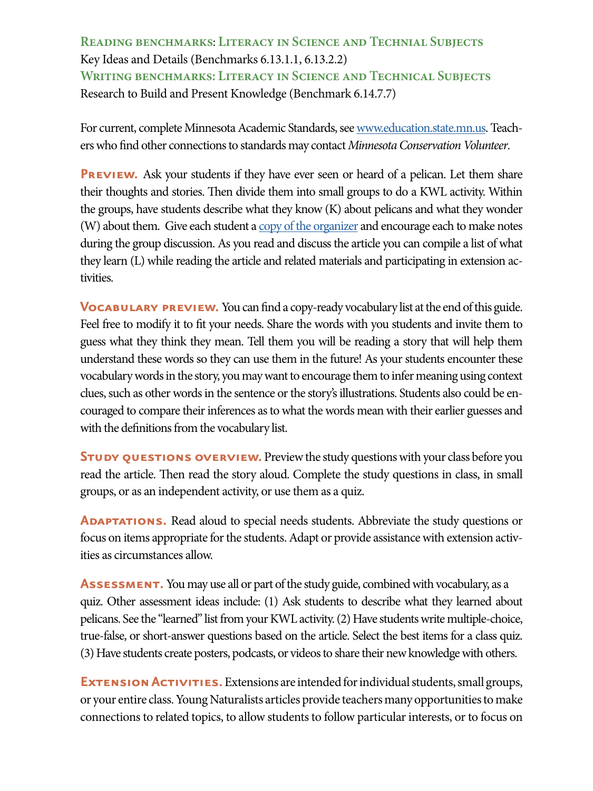**Reading benchmarks**: **Literacy in Science and Technial Subjects**  Key Ideas and Details (Benchmarks 6.13.1.1, 6.13.2.2) **Writing benchmarks: Literacy in Science and Technical Subjects**  Research to Build and Present Knowledge (Benchmark 6.14.7.7)

For current, complete Minnesota Academic Standards, see [www.education.state.mn.us](https://education.mn.gov/mde/index.html). Teachers who fnd other connections to standards may contact *Minnesota Conservation Volunteer*.

**PREVIEW.** Ask your students if they have ever seen or heard of a pelican. Let them share their thoughts and stories. Then divide them into small groups to do a KWL activity. Within the groups, have students describe what they know (K) about pelicans and what they wonder (W) about them. Give each student a  $copy of the organizer$  and encourage each to make notes</u> during the group discussion. As you read and discuss the article you can compile a list of what they learn (L) while reading the article and related materials and participating in extension activities.

**VOCABULARY PREVIEW.** You can find a copy-ready vocabulary list at the end of this guide. Feel free to modify it to ft your needs. Share the words with you students and invite them to guess what they think they mean. Tell them you will be reading a story that will help them understand these words so they can use them in the future! As your students encounter these vocabulary words in the story, you may want to encourage them to infer meaning using context clues, such as other words in the sentence or the story's illustrations. Students also could be encouraged to compare their inferences as to what the words mean with their earlier guesses and with the defnitions from the vocabulary list.

**STUDY QUESTIONS OVERVIEW.** Preview the study questions with your class before you read the article. Then read the story aloud. Complete the study questions in class, in small groups, or as an independent activity, or use them as a quiz.

**ADAPTATIONS.** Read aloud to special needs students. Abbreviate the study questions or focus on items appropriate for the students. Adapt or provide assistance with extension activities as circumstances allow.

**Assessment.** You may use all or part of the study guide, combined with vocabulary, as a quiz. Other assessment ideas include: (1) Ask students to describe what they learned about pelicans. See the "learned" list from your KWL activity. (2) Have students write multiple-choice, true-false, or short-answer questions based on the article. Select the best items for a class quiz. (3) Have students create posters, podcasts, or videos to share their new knowledge with others.

**EXTENSION ACTIVITIES.** Extensions are intended for individual students, small groups, or your entire class. Young Naturalists articles provide teachers many opportunities to make connections to related topics, to allow students to follow particular interests, or to focus on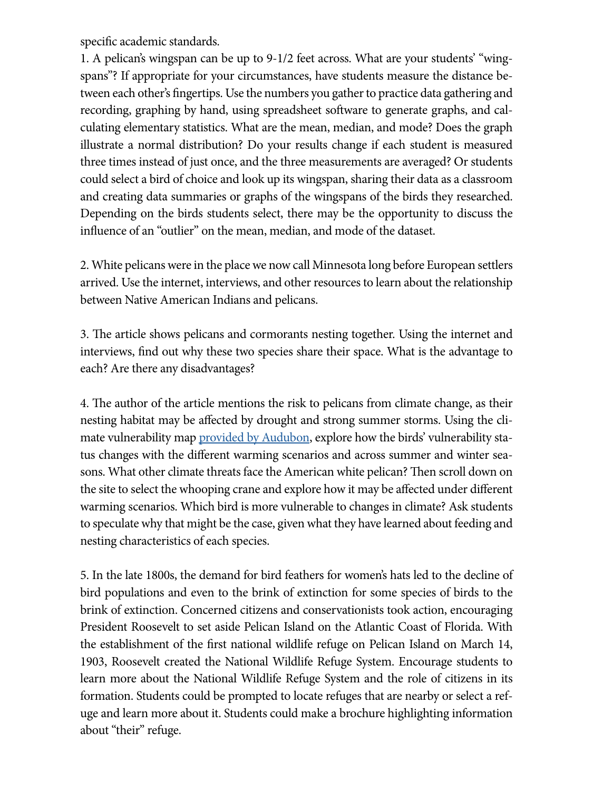specifc academic standards.

1. A pelican's wingspan can be up to 9-1/2 feet across. What are your students' "wingspans"? If appropriate for your circumstances, have students measure the distance between each other's fngertips. Use the numbers you gather to practice data gathering and recording, graphing by hand, using spreadsheet software to generate graphs, and calculating elementary statistics. What are the mean, median, and mode? Does the graph illustrate a normal distribution? Do your results change if each student is measured three times instead of just once, and the three measurements are averaged? Or students could select a bird of choice and look up its wingspan, sharing their data as a classroom and creating data summaries or graphs of the wingspans of the birds they researched. Depending on the birds students select, there may be the opportunity to discuss the infuence of an "outlier" on the mean, median, and mode of the dataset.

2. White pelicans were in the place we now call Minnesota long before European settlers arrived. Use the internet, interviews, and other resources to learn about the relationship between Native American Indians and pelicans.

3. The article shows pelicans and cormorants nesting together. Using the internet and interviews, fnd out why these two species share their space. What is the advantage to each? Are there any disadvantages?

4. The author of the article mentions the risk to pelicans from climate change, as their nesting habitat may be afected by drought and strong summer storms. Using the climate vulnerability map [provided by Audubon,](https://www.audubon.org/field-guide/bird/american-white-pelican) explore how the birds' vulnerability status changes with the diferent warming scenarios and across summer and winter seasons. What other climate threats face the American white pelican? Then scroll down on the site to select the whooping crane and explore how it may be afected under diferent warming scenarios. Which bird is more vulnerable to changes in climate? Ask students to speculate why that might be the case, given what they have learned about feeding and nesting characteristics of each species.

5. In the late 1800s, the demand for bird feathers for women's hats led to the decline of bird populations and even to the brink of extinction for some species of birds to the brink of extinction. Concerned citizens and conservationists took action, encouraging President Roosevelt to set aside Pelican Island on the Atlantic Coast of Florida. With the establishment of the frst national wildlife refuge on Pelican Island on March 14, 1903, Roosevelt created the National Wildlife Refuge System. Encourage students to learn more about the National Wildlife Refuge System and the role of citizens in its formation. Students could be prompted to locate refuges that are nearby or select a refuge and learn more about it. Students could make a brochure highlighting information about "their" refuge.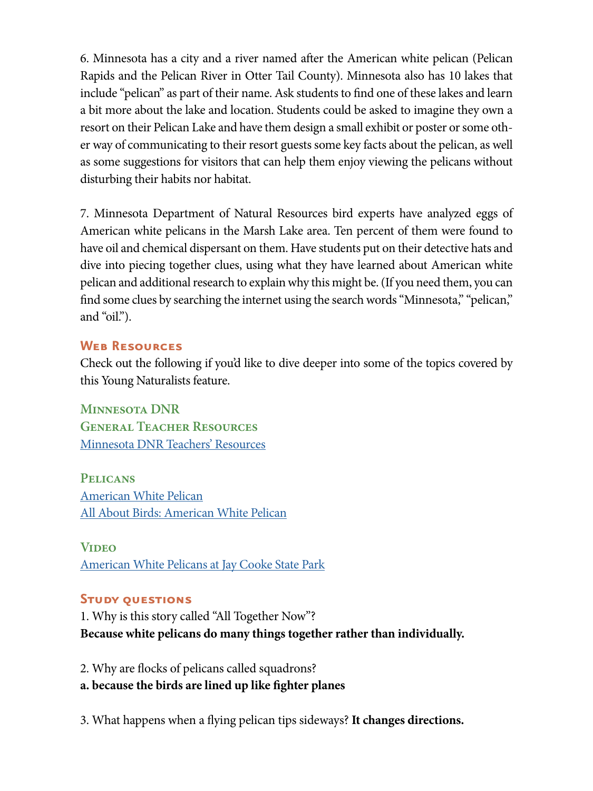6. Minnesota has a city and a river named afer the American white pelican (Pelican Rapids and the Pelican River in Otter Tail County). Minnesota also has 10 lakes that include "pelican" as part of their name. Ask students to fnd one of these lakes and learn a bit more about the lake and location. Students could be asked to imagine they own a resort on their Pelican Lake and have them design a small exhibit or poster or some other way of communicating to their resort guests some key facts about the pelican, as well as some suggestions for visitors that can help them enjoy viewing the pelicans without disturbing their habits nor habitat.

7. Minnesota Department of Natural Resources bird experts have analyzed eggs of American white pelicans in the Marsh Lake area. Ten percent of them were found to have oil and chemical dispersant on them. Have students put on their detective hats and dive into piecing together clues, using what they have learned about American white pelican and additional research to explain why this might be. (If you need them, you can fnd some clues by searching the internet using the search words "Minnesota," "pelican," and "oil.").

#### **Web Resources**

Check out the following if you'd like to dive deeper into some of the topics covered by this Young Naturalists feature.

**Minnesota DNR General Teacher Resources**  [Minnesota DNR Teachers' Resources](http://www.dnr.state.mn.us/education/teachers/index.html) 

**Pelicans**  [American White Pelican](https://www.dnr.state.mn.us/rsg/profile.html?action=elementDetail&selectedElement=ABNFC01010)  [All About Birds: American White Pelican](https://www.allaboutbirds.org/guide/American_White_Pelican/id)

**Video**  [American White Pelicans at Jay Cooke State Park](https://www.youtube.com/watch?v=F-aOm6nDbTk)

#### **Study questions**

1. Why is this story called "All Together Now"? **Because white pelicans do many things together rather than individually.** 

2. Why are focks of pelicans called squadrons? **a. because the birds are lined up like fghter planes** 

3. What happens when a fying pelican tips sideways? **It changes directions.**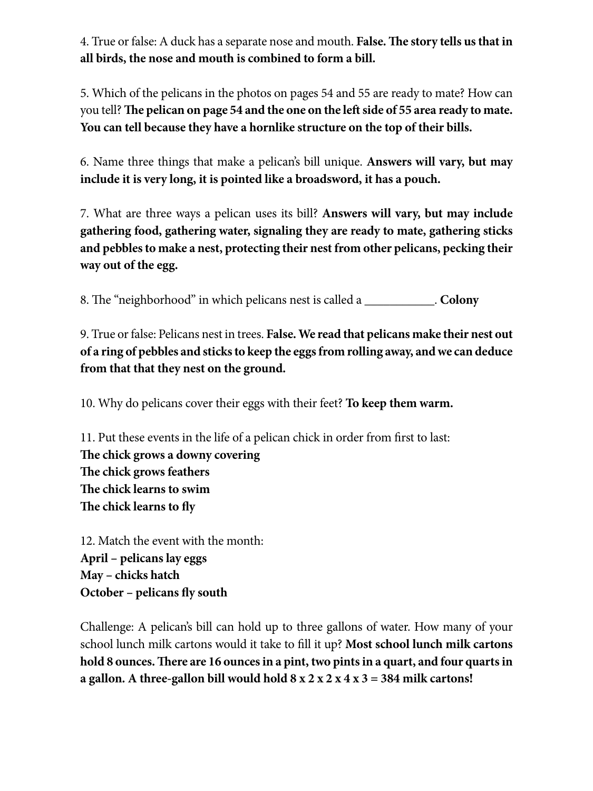4. True or false: A duck has a separate nose and mouth. **False. The story tells us that in all birds, the nose and mouth is combined to form a bill.** 

5. Which of the pelicans in the photos on pages 54 and 55 are ready to mate? How can you tell? The pelican on page 54 and the one on the left side of 55 area ready to mate. **You can tell because they have a hornlike structure on the top of their bills.** 

6. Name three things that make a pelican's bill unique. **Answers will vary, but may include it is very long, it is pointed like a broadsword, it has a pouch.** 

7. What are three ways a pelican uses its bill? **Answers will vary, but may include gathering food, gathering water, signaling they are ready to mate, gathering sticks and pebbles to make a nest, protecting their nest from other pelicans, pecking their way out of the egg.** 

8. The "neighborhood" in which pelicans nest is called a \_\_\_\_\_\_\_\_\_\_\_\_. **Colony** 

9. True or false: Pelicans nest in trees. **False. We read that pelicans make their nest out of a ring of pebbles and sticks to keep the eggs from rolling away, and we can deduce from that that they nest on the ground.** 

10. Why do pelicans cover their eggs with their feet? **To keep them warm.** 

11. Put these events in the life of a pelican chick in order from frst to last: The chick grows a downy covering **The chick grows feathers** The chick learns to swim The chick learns to fly

12. Match the event with the month: **April – pelicans lay eggs May – chicks hatch October – pelicans fy south** 

Challenge: A pelican's bill can hold up to three gallons of water. How many of your school lunch milk cartons would it take to fll it up? **Most school lunch milk cartons**  hold 8 ounces. There are 16 ounces in a pint, two pints in a quart, and four quarts in **a gallon. A three-gallon bill would hold 8 x 2 x 2 x 4 x 3 = 384 milk cartons!**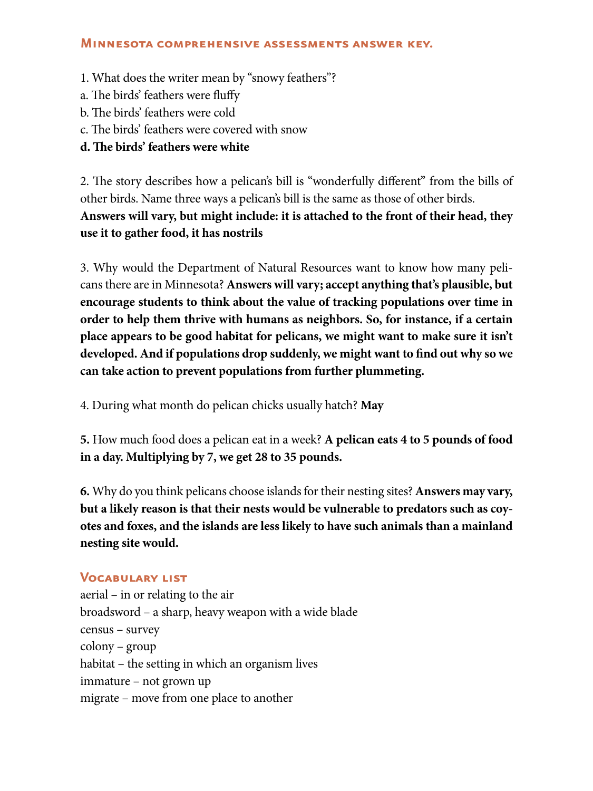#### **Minnesota comprehensive assessments answer key.**

- 1. What does the writer mean by "snowy feathers"?
- a. The birds' feathers were fluffy
- b. The birds' feathers were cold
- c. The birds' feathers were covered with snow
- d. The birds' feathers were white

2. The story describes how a pelican's bill is "wonderfully different" from the bills of other birds. Name three ways a pelican's bill is the same as those of other birds. **Answers will vary, but might include: it is attached to the front of their head, they use it to gather food, it has nostrils** 

3. Why would the Department of Natural Resources want to know how many pelicans there are in Minnesota? **Answers will vary; accept anything that's plausible, but encourage students to think about the value of tracking populations over time in order to help them thrive with humans as neighbors. So, for instance, if a certain place appears to be good habitat for pelicans, we might want to make sure it isn't developed. And if populations drop suddenly, we might want to fnd out why so we can take action to prevent populations from further plummeting.** 

4. During what month do pelican chicks usually hatch? **May** 

**5.** How much food does a pelican eat in a week? **A pelican eats 4 to 5 pounds of food in a day. Multiplying by 7, we get 28 to 35 pounds.** 

**6.** Why do you think pelicans choose islands for their nesting sites? **Answers may vary, but a likely reason is that their nests would be vulnerable to predators such as coyotes and foxes, and the islands are less likely to have such animals than a mainland nesting site would.** 

#### **Vocabulary list**

aerial – in or relating to the air broadsword – a sharp, heavy weapon with a wide blade census – survey colony – group habitat – the setting in which an organism lives immature – not grown up migrate – move from one place to another